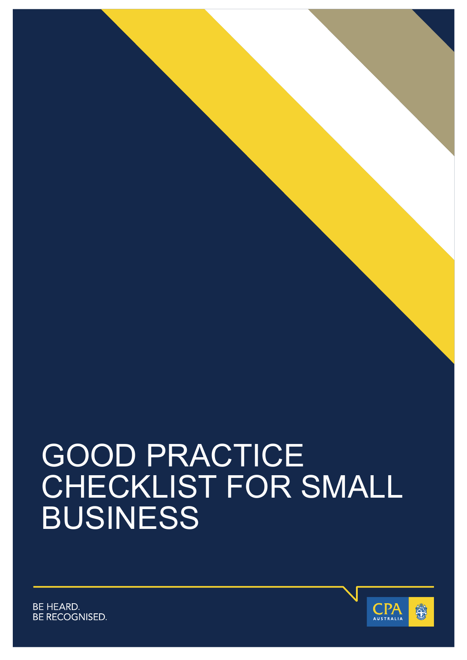# GOOD PRACTICE CHECKLIST FOR SMALL BUSINESS



**BE HEARD. BE RECOGNISED.**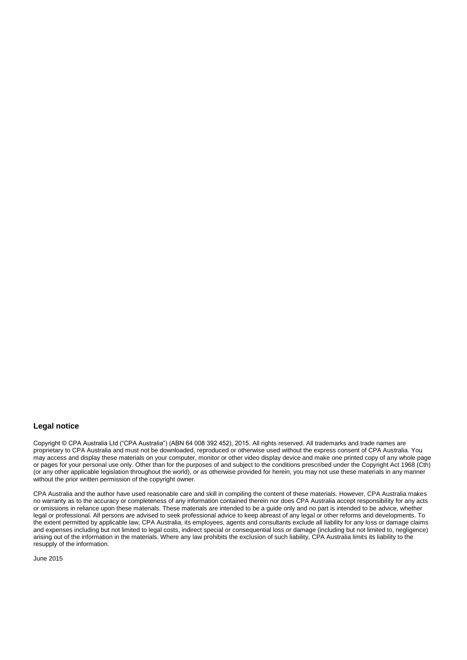#### **Legal notice**

Copyright © CPA Australia Ltd ("CPA Australia") (ABN 64 008 392 452), 2015. All rights reserved. All trademarks and trade names are proprietary to CPA Australia and must not be downloaded, reproduced or otherwise used without the express consent of CPA Australia. You may access and display these materials on your computer, monitor or other video display device and make one printed copy of any whole page or pages for your personal use only. Other than for the purposes of and subject to the conditions prescribed under the Copyright Act 1968 (Cth) (or any other applicable legislation throughout the world), or as otherwise provided for herein, you may not use these materials in any manner without the prior written permission of the copyright owner.

CPA Australia and the author have used reasonable care and skill in compiling the content of these materials. However, CPA Australia makes no warranty as to the accuracy or completeness of any information contained therein nor does CPA Australia accept responsibility for any acts or omissions in reliance upon these materials. These materials are intended to be a guide only and no part is intended to be advice, whether legal or professional. All persons are advised to seek professional advice to keep abreast of any legal or other reforms and developments. To the extent permitted by applicable law, CPA Australia, its employees, agents and consultants exclude all liability for any loss or damage claims and expenses including but not limited to legal costs, indirect special or consequential loss or damage (including but not limited to, negligence) arising out of the information in the materials. Where any law prohibits the exclusion of such liability, CPA Australia limits its liability to the resupply of the information.

June 2015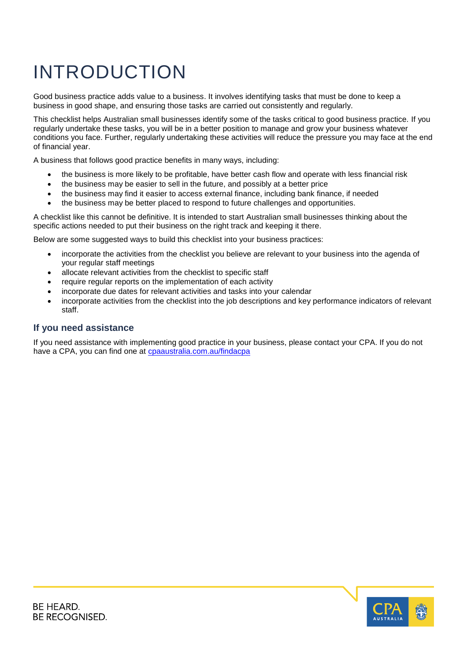### INTRODUCTION

Good business practice adds value to a business. It involves identifying tasks that must be done to keep a business in good shape, and ensuring those tasks are carried out consistently and regularly.

This checklist helps Australian small businesses identify some of the tasks critical to good business practice. If you regularly undertake these tasks, you will be in a better position to manage and grow your business whatever conditions you face. Further, regularly undertaking these activities will reduce the pressure you may face at the end of financial year.

A business that follows good practice benefits in many ways, including:

- the business is more likely to be profitable, have better cash flow and operate with less financial risk
- the business may be easier to sell in the future, and possibly at a better price
- the business may find it easier to access external finance, including bank finance, if needed
- the business may be better placed to respond to future challenges and opportunities.

A checklist like this cannot be definitive. It is intended to start Australian small businesses thinking about the specific actions needed to put their business on the right track and keeping it there.

Below are some suggested ways to build this checklist into your business practices:

- incorporate the activities from the checklist you believe are relevant to your business into the agenda of your regular staff meetings
- allocate relevant activities from the checklist to specific staff
- require regular reports on the implementation of each activity
- incorporate due dates for relevant activities and tasks into your calendar
- incorporate activities from the checklist into the job descriptions and key performance indicators of relevant staff.

#### **If you need assistance**

If you need assistance with implementing good practice in your business, please contact your CPA. If you do not have a CPA, you can find one at [cpaaustralia.com.au/findacpa](http://www.cpaaustralia.com.au/findacpa)

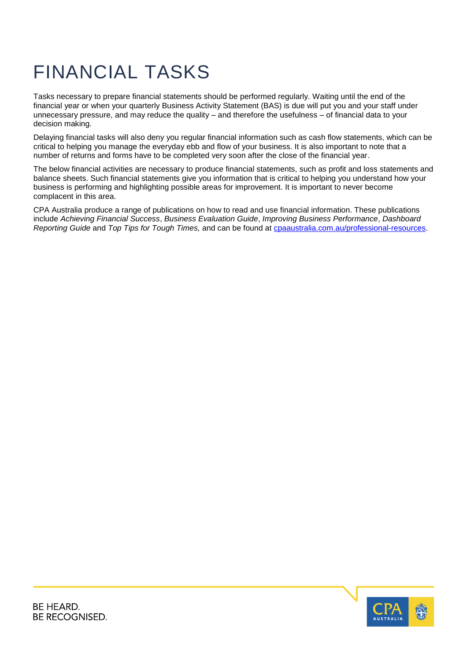#### FINANCIAL TASKS

Tasks necessary to prepare financial statements should be performed regularly. Waiting until the end of the financial year or when your quarterly Business Activity Statement (BAS) is due will put you and your staff under unnecessary pressure, and may reduce the quality – and therefore the usefulness – of financial data to your decision making.

Delaying financial tasks will also deny you regular financial information such as cash flow statements, which can be critical to helping you manage the everyday ebb and flow of your business. It is also important to note that a number of returns and forms have to be completed very soon after the close of the financial year.

The below financial activities are necessary to produce financial statements, such as profit and loss statements and balance sheets. Such financial statements give you information that is critical to helping you understand how your business is performing and highlighting possible areas for improvement. It is important to never become complacent in this area.

CPA Australia produce a range of publications on how to read and use financial information. These publications include *Achieving Financial Success*, *Business Evaluation Guide*, *Improving Business Performance*, *Dashboard Reporting Guide* and *Top Tips for Tough Times,* and can be found at [cpaaustralia.com.au/professional-resources.](http://www.cpaaustralia.com.au/professional-resources)

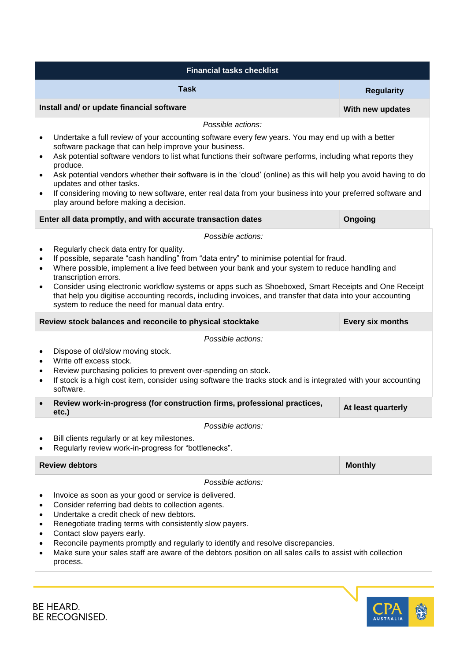| <b>Financial tasks checklist</b>                                                                                                                                                                                                                                                                                                                                                                                                                                                                                                                                                             |                    |  |
|----------------------------------------------------------------------------------------------------------------------------------------------------------------------------------------------------------------------------------------------------------------------------------------------------------------------------------------------------------------------------------------------------------------------------------------------------------------------------------------------------------------------------------------------------------------------------------------------|--------------------|--|
| <b>Task</b>                                                                                                                                                                                                                                                                                                                                                                                                                                                                                                                                                                                  | <b>Regularity</b>  |  |
| Install and/ or update financial software                                                                                                                                                                                                                                                                                                                                                                                                                                                                                                                                                    | With new updates   |  |
| Possible actions:                                                                                                                                                                                                                                                                                                                                                                                                                                                                                                                                                                            |                    |  |
| Undertake a full review of your accounting software every few years. You may end up with a better<br>$\bullet$<br>software package that can help improve your business.                                                                                                                                                                                                                                                                                                                                                                                                                      |                    |  |
| Ask potential software vendors to list what functions their software performs, including what reports they<br>$\bullet$<br>produce.<br>Ask potential vendors whether their software is in the 'cloud' (online) as this will help you avoid having to do<br>$\bullet$                                                                                                                                                                                                                                                                                                                         |                    |  |
| updates and other tasks.<br>If considering moving to new software, enter real data from your business into your preferred software and<br>$\bullet$<br>play around before making a decision.                                                                                                                                                                                                                                                                                                                                                                                                 |                    |  |
| Enter all data promptly, and with accurate transaction dates                                                                                                                                                                                                                                                                                                                                                                                                                                                                                                                                 | Ongoing            |  |
| Possible actions:                                                                                                                                                                                                                                                                                                                                                                                                                                                                                                                                                                            |                    |  |
| Regularly check data entry for quality.<br>$\bullet$<br>If possible, separate "cash handling" from "data entry" to minimise potential for fraud.<br>$\bullet$<br>Where possible, implement a live feed between your bank and your system to reduce handling and<br>$\bullet$<br>transcription errors.<br>Consider using electronic workflow systems or apps such as Shoeboxed, Smart Receipts and One Receipt<br>$\bullet$<br>that help you digitise accounting records, including invoices, and transfer that data into your accounting<br>system to reduce the need for manual data entry. |                    |  |
| Review stock balances and reconcile to physical stocktake<br>Every six months                                                                                                                                                                                                                                                                                                                                                                                                                                                                                                                |                    |  |
| Possible actions:                                                                                                                                                                                                                                                                                                                                                                                                                                                                                                                                                                            |                    |  |
| Dispose of old/slow moving stock.<br>$\bullet$<br>Write off excess stock.<br>$\bullet$<br>Review purchasing policies to prevent over-spending on stock.<br>٠<br>If stock is a high cost item, consider using software the tracks stock and is integrated with your accounting<br>$\bullet$<br>software.                                                                                                                                                                                                                                                                                      |                    |  |
| Review work-in-progress (for construction firms, professional practices,<br>etc.)                                                                                                                                                                                                                                                                                                                                                                                                                                                                                                            | At least quarterly |  |
| Possible actions:                                                                                                                                                                                                                                                                                                                                                                                                                                                                                                                                                                            |                    |  |
| Bill clients regularly or at key milestones.<br>$\bullet$<br>Regularly review work-in-progress for "bottlenecks".                                                                                                                                                                                                                                                                                                                                                                                                                                                                            |                    |  |
| <b>Review debtors</b>                                                                                                                                                                                                                                                                                                                                                                                                                                                                                                                                                                        | <b>Monthly</b>     |  |
| Possible actions:                                                                                                                                                                                                                                                                                                                                                                                                                                                                                                                                                                            |                    |  |
| Invoice as soon as your good or service is delivered.<br>$\bullet$<br>Consider referring bad debts to collection agents.<br>$\bullet$<br>Undertake a credit check of new debtors.<br>$\bullet$<br>Renegotiate trading terms with consistently slow payers.<br>$\bullet$<br>Contact slow payers early.<br>$\bullet$<br>Reconcile payments promptly and regularly to identify and resolve discrepancies.<br>$\bullet$                                                                                                                                                                          |                    |  |
| Make sure your sales staff are aware of the debtors position on all sales calls to assist with collection<br>$\bullet$<br>process.                                                                                                                                                                                                                                                                                                                                                                                                                                                           |                    |  |



BE HEARD. BE RECOGNISED.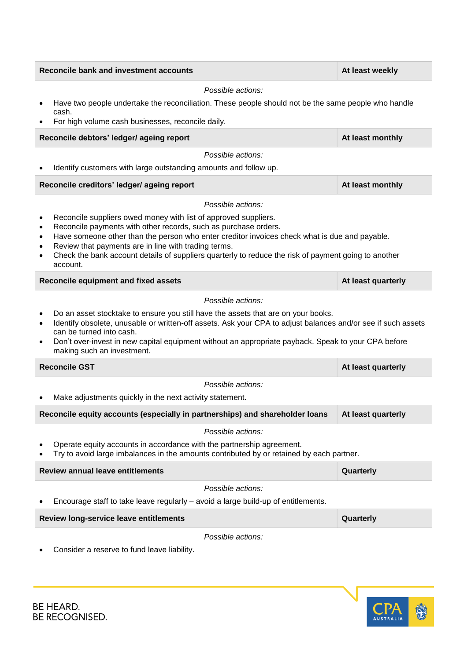|                                                    | Reconcile bank and investment accounts                                                                                                                                                                                                                                                                                                                                                                          | At least weekly    |  |  |
|----------------------------------------------------|-----------------------------------------------------------------------------------------------------------------------------------------------------------------------------------------------------------------------------------------------------------------------------------------------------------------------------------------------------------------------------------------------------------------|--------------------|--|--|
|                                                    | Possible actions:                                                                                                                                                                                                                                                                                                                                                                                               |                    |  |  |
|                                                    | Have two people undertake the reconciliation. These people should not be the same people who handle<br>cash.                                                                                                                                                                                                                                                                                                    |                    |  |  |
|                                                    | For high volume cash businesses, reconcile daily.                                                                                                                                                                                                                                                                                                                                                               |                    |  |  |
|                                                    | Reconcile debtors' ledger/ ageing report                                                                                                                                                                                                                                                                                                                                                                        | At least monthly   |  |  |
|                                                    | Possible actions:                                                                                                                                                                                                                                                                                                                                                                                               |                    |  |  |
| $\bullet$                                          | Identify customers with large outstanding amounts and follow up.                                                                                                                                                                                                                                                                                                                                                |                    |  |  |
|                                                    | Reconcile creditors' ledger/ ageing report                                                                                                                                                                                                                                                                                                                                                                      | At least monthly   |  |  |
|                                                    | Possible actions:                                                                                                                                                                                                                                                                                                                                                                                               |                    |  |  |
| ٠<br>٠<br>$\bullet$<br>$\bullet$<br>$\bullet$      | Reconcile suppliers owed money with list of approved suppliers.<br>Reconcile payments with other records, such as purchase orders.<br>Have someone other than the person who enter creditor invoices check what is due and payable.<br>Review that payments are in line with trading terms.<br>Check the bank account details of suppliers quarterly to reduce the risk of payment going to another<br>account. |                    |  |  |
|                                                    | Reconcile equipment and fixed assets                                                                                                                                                                                                                                                                                                                                                                            | At least quarterly |  |  |
| $\bullet$<br>$\bullet$<br>$\bullet$                | Possible actions:<br>Do an asset stocktake to ensure you still have the assets that are on your books.<br>Identify obsolete, unusable or written-off assets. Ask your CPA to adjust balances and/or see if such assets<br>can be turned into cash.<br>Don't over-invest in new capital equipment without an appropriate payback. Speak to your CPA before                                                       |                    |  |  |
| making such an investment.<br><b>Reconcile GST</b> |                                                                                                                                                                                                                                                                                                                                                                                                                 | At least quarterly |  |  |
|                                                    | Possible actions:                                                                                                                                                                                                                                                                                                                                                                                               |                    |  |  |
|                                                    | Make adjustments quickly in the next activity statement.                                                                                                                                                                                                                                                                                                                                                        |                    |  |  |
|                                                    | Reconcile equity accounts (especially in partnerships) and shareholder loans                                                                                                                                                                                                                                                                                                                                    | At least quarterly |  |  |
|                                                    | Possible actions:                                                                                                                                                                                                                                                                                                                                                                                               |                    |  |  |
|                                                    | Operate equity accounts in accordance with the partnership agreement.<br>Try to avoid large imbalances in the amounts contributed by or retained by each partner.                                                                                                                                                                                                                                               |                    |  |  |
|                                                    | Review annual leave entitlements                                                                                                                                                                                                                                                                                                                                                                                | Quarterly          |  |  |
|                                                    | Possible actions:                                                                                                                                                                                                                                                                                                                                                                                               |                    |  |  |
| ٠                                                  | Encourage staff to take leave regularly – avoid a large build-up of entitlements.                                                                                                                                                                                                                                                                                                                               |                    |  |  |
|                                                    | Review long-service leave entitlements                                                                                                                                                                                                                                                                                                                                                                          | Quarterly          |  |  |
|                                                    | Possible actions:                                                                                                                                                                                                                                                                                                                                                                                               |                    |  |  |
|                                                    | Consider a reserve to fund leave liability.                                                                                                                                                                                                                                                                                                                                                                     |                    |  |  |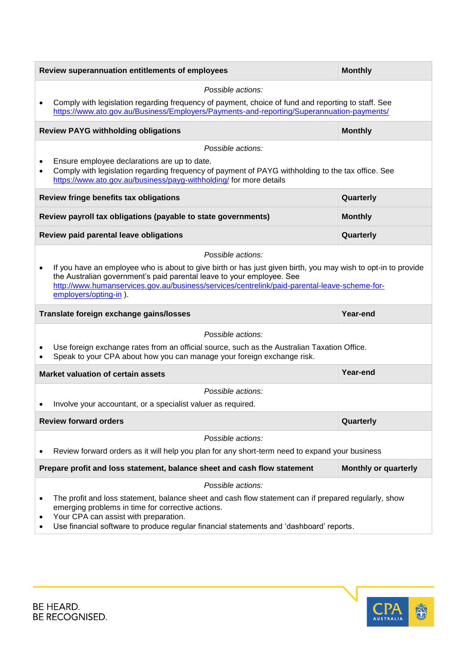| Review superannuation entitlements of employees                                                                                                                                                                                                                                                                      | <b>Monthly</b>              |  |
|----------------------------------------------------------------------------------------------------------------------------------------------------------------------------------------------------------------------------------------------------------------------------------------------------------------------|-----------------------------|--|
| Possible actions:                                                                                                                                                                                                                                                                                                    |                             |  |
| Comply with legislation regarding frequency of payment, choice of fund and reporting to staff. See<br>$\bullet$<br>https://www.ato.gov.au/Business/Employers/Payments-and-reporting/Superannuation-payments/                                                                                                         |                             |  |
| <b>Review PAYG withholding obligations</b>                                                                                                                                                                                                                                                                           | <b>Monthly</b>              |  |
| Possible actions:                                                                                                                                                                                                                                                                                                    |                             |  |
| Ensure employee declarations are up to date.<br>$\bullet$<br>Comply with legislation regarding frequency of payment of PAYG withholding to the tax office. See<br>$\bullet$<br>https://www.ato.gov.au/business/payg-withholding/ for more details                                                                    |                             |  |
| Review fringe benefits tax obligations                                                                                                                                                                                                                                                                               | Quarterly                   |  |
| Review payroll tax obligations (payable to state governments)                                                                                                                                                                                                                                                        | <b>Monthly</b>              |  |
| Review paid parental leave obligations                                                                                                                                                                                                                                                                               | Quarterly                   |  |
| Possible actions:                                                                                                                                                                                                                                                                                                    |                             |  |
| If you have an employee who is about to give birth or has just given birth, you may wish to opt-in to provide<br>٠<br>the Australian government's paid parental leave to your employee. See<br>http://www.humanservices.gov.au/business/services/centrelink/paid-parental-leave-scheme-for-<br>employers/opting-in). |                             |  |
|                                                                                                                                                                                                                                                                                                                      |                             |  |
| Translate foreign exchange gains/losses                                                                                                                                                                                                                                                                              | Year-end                    |  |
| Possible actions:                                                                                                                                                                                                                                                                                                    |                             |  |
| Use foreign exchange rates from an official source, such as the Australian Taxation Office.<br>Speak to your CPA about how you can manage your foreign exchange risk.                                                                                                                                                |                             |  |
| <b>Market valuation of certain assets</b>                                                                                                                                                                                                                                                                            | Year-end                    |  |
| Possible actions:                                                                                                                                                                                                                                                                                                    |                             |  |
| Involve your accountant, or a specialist valuer as required.                                                                                                                                                                                                                                                         |                             |  |
|                                                                                                                                                                                                                                                                                                                      |                             |  |
| <b>Review forward orders</b>                                                                                                                                                                                                                                                                                         | Quarterly                   |  |
| Possible actions:                                                                                                                                                                                                                                                                                                    |                             |  |
| Review forward orders as it will help you plan for any short-term need to expand your business                                                                                                                                                                                                                       |                             |  |
| Prepare profit and loss statement, balance sheet and cash flow statement                                                                                                                                                                                                                                             | <b>Monthly or quarterly</b> |  |
| Possible actions:                                                                                                                                                                                                                                                                                                    |                             |  |
| The profit and loss statement, balance sheet and cash flow statement can if prepared regularly, show<br>٠<br>emerging problems in time for corrective actions.<br>Your CPA can assist with preparation.<br>٠<br>Use financial software to produce regular financial statements and 'dashboard' reports.              |                             |  |

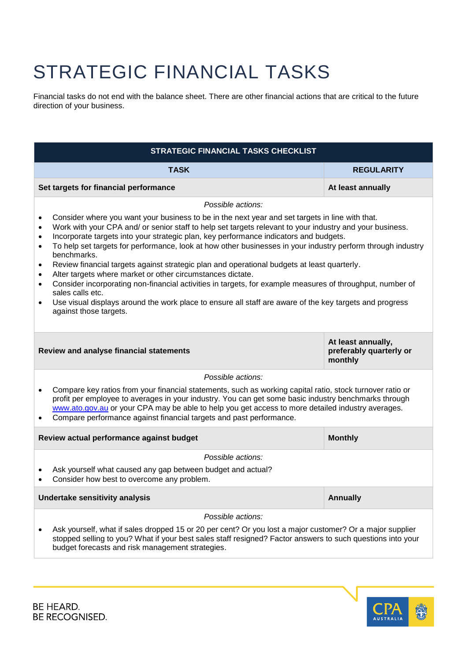## STRATEGIC FINANCIAL TASKS

Financial tasks do not end with the balance sheet. There are other financial actions that are critical to the future direction of your business.

| STRATEGIC FINANCIAL TASKS CHECKLIST                                                                                                                                                                                                                                                                                                                                                                                                                                                                                                                                                                                                                                                                                                                                                                                                                                                                                                                                           |                   |  |  |
|-------------------------------------------------------------------------------------------------------------------------------------------------------------------------------------------------------------------------------------------------------------------------------------------------------------------------------------------------------------------------------------------------------------------------------------------------------------------------------------------------------------------------------------------------------------------------------------------------------------------------------------------------------------------------------------------------------------------------------------------------------------------------------------------------------------------------------------------------------------------------------------------------------------------------------------------------------------------------------|-------------------|--|--|
| <b>TASK</b>                                                                                                                                                                                                                                                                                                                                                                                                                                                                                                                                                                                                                                                                                                                                                                                                                                                                                                                                                                   | <b>REGULARITY</b> |  |  |
| Set targets for financial performance                                                                                                                                                                                                                                                                                                                                                                                                                                                                                                                                                                                                                                                                                                                                                                                                                                                                                                                                         | At least annually |  |  |
| Possible actions:                                                                                                                                                                                                                                                                                                                                                                                                                                                                                                                                                                                                                                                                                                                                                                                                                                                                                                                                                             |                   |  |  |
| Consider where you want your business to be in the next year and set targets in line with that.<br>$\bullet$<br>Work with your CPA and/ or senior staff to help set targets relevant to your industry and your business.<br>$\bullet$<br>Incorporate targets into your strategic plan, key performance indicators and budgets.<br>$\bullet$<br>To help set targets for performance, look at how other businesses in your industry perform through industry<br>$\bullet$<br>benchmarks.<br>Review financial targets against strategic plan and operational budgets at least quarterly.<br>$\bullet$<br>Alter targets where market or other circumstances dictate.<br>$\bullet$<br>Consider incorporating non-financial activities in targets, for example measures of throughput, number of<br>$\bullet$<br>sales calls etc.<br>Use visual displays around the work place to ensure all staff are aware of the key targets and progress<br>$\bullet$<br>against those targets. |                   |  |  |
| At least annually,<br>preferably quarterly or<br>Review and analyse financial statements<br>monthly                                                                                                                                                                                                                                                                                                                                                                                                                                                                                                                                                                                                                                                                                                                                                                                                                                                                           |                   |  |  |
| Possible actions:                                                                                                                                                                                                                                                                                                                                                                                                                                                                                                                                                                                                                                                                                                                                                                                                                                                                                                                                                             |                   |  |  |
| Compare key ratios from your financial statements, such as working capital ratio, stock turnover ratio or<br>profit per employee to averages in your industry. You can get some basic industry benchmarks through<br>www.ato.gov.au or your CPA may be able to help you get access to more detailed industry averages.<br>Compare performance against financial targets and past performance.<br>$\bullet$                                                                                                                                                                                                                                                                                                                                                                                                                                                                                                                                                                    |                   |  |  |
| Review actual performance against budget                                                                                                                                                                                                                                                                                                                                                                                                                                                                                                                                                                                                                                                                                                                                                                                                                                                                                                                                      | <b>Monthly</b>    |  |  |
| Possible actions:                                                                                                                                                                                                                                                                                                                                                                                                                                                                                                                                                                                                                                                                                                                                                                                                                                                                                                                                                             |                   |  |  |
| Ask yourself what caused any gap between budget and actual?<br>Consider how best to overcome any problem.                                                                                                                                                                                                                                                                                                                                                                                                                                                                                                                                                                                                                                                                                                                                                                                                                                                                     |                   |  |  |
| Undertake sensitivity analysis                                                                                                                                                                                                                                                                                                                                                                                                                                                                                                                                                                                                                                                                                                                                                                                                                                                                                                                                                | <b>Annually</b>   |  |  |
| Possible actions:                                                                                                                                                                                                                                                                                                                                                                                                                                                                                                                                                                                                                                                                                                                                                                                                                                                                                                                                                             |                   |  |  |
| Ask yourself, what if sales dropped 15 or 20 per cent? Or you lost a major customer? Or a major supplier<br>stopped selling to you? What if your best sales staff resigned? Factor answers to such questions into your<br>budget forecasts and risk management strategies.                                                                                                                                                                                                                                                                                                                                                                                                                                                                                                                                                                                                                                                                                                    |                   |  |  |

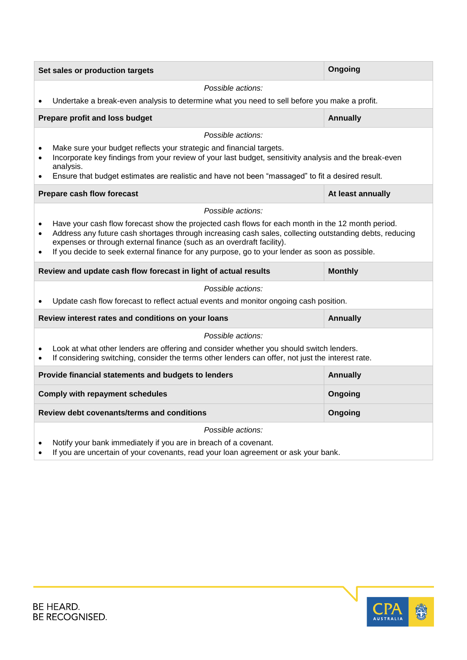|                                                                                   | Set sales or production targets                                                                                                                                                                                                                                                                                                                                                         | Ongoing           |  |
|-----------------------------------------------------------------------------------|-----------------------------------------------------------------------------------------------------------------------------------------------------------------------------------------------------------------------------------------------------------------------------------------------------------------------------------------------------------------------------------------|-------------------|--|
|                                                                                   | Possible actions:                                                                                                                                                                                                                                                                                                                                                                       |                   |  |
| $\bullet$                                                                         | Undertake a break-even analysis to determine what you need to sell before you make a profit.                                                                                                                                                                                                                                                                                            |                   |  |
|                                                                                   | Prepare profit and loss budget                                                                                                                                                                                                                                                                                                                                                          | Annually          |  |
|                                                                                   | Possible actions:                                                                                                                                                                                                                                                                                                                                                                       |                   |  |
| $\bullet$<br>$\bullet$                                                            | Make sure your budget reflects your strategic and financial targets.<br>Incorporate key findings from your review of your last budget, sensitivity analysis and the break-even<br>analysis.                                                                                                                                                                                             |                   |  |
| ٠                                                                                 | Ensure that budget estimates are realistic and have not been "massaged" to fit a desired result.                                                                                                                                                                                                                                                                                        |                   |  |
|                                                                                   | Prepare cash flow forecast                                                                                                                                                                                                                                                                                                                                                              | At least annually |  |
|                                                                                   | Possible actions:                                                                                                                                                                                                                                                                                                                                                                       |                   |  |
| $\bullet$<br>$\bullet$                                                            | Have your cash flow forecast show the projected cash flows for each month in the 12 month period.<br>Address any future cash shortages through increasing cash sales, collecting outstanding debts, reducing<br>expenses or through external finance (such as an overdraft facility).<br>If you decide to seek external finance for any purpose, go to your lender as soon as possible. |                   |  |
| Review and update cash flow forecast in light of actual results<br><b>Monthly</b> |                                                                                                                                                                                                                                                                                                                                                                                         |                   |  |
|                                                                                   | Possible actions:                                                                                                                                                                                                                                                                                                                                                                       |                   |  |
|                                                                                   | Update cash flow forecast to reflect actual events and monitor ongoing cash position.                                                                                                                                                                                                                                                                                                   |                   |  |
|                                                                                   | Review interest rates and conditions on your loans                                                                                                                                                                                                                                                                                                                                      | <b>Annually</b>   |  |
|                                                                                   | Possible actions:                                                                                                                                                                                                                                                                                                                                                                       |                   |  |
| $\bullet$<br>$\bullet$                                                            | Look at what other lenders are offering and consider whether you should switch lenders.<br>If considering switching, consider the terms other lenders can offer, not just the interest rate.                                                                                                                                                                                            |                   |  |
|                                                                                   | Provide financial statements and budgets to lenders                                                                                                                                                                                                                                                                                                                                     | Annually          |  |
|                                                                                   | <b>Comply with repayment schedules</b><br>Ongoing                                                                                                                                                                                                                                                                                                                                       |                   |  |
|                                                                                   | <b>Review debt covenants/terms and conditions</b>                                                                                                                                                                                                                                                                                                                                       | Ongoing           |  |
|                                                                                   | Possible actions:<br>Notify your bank immediately if you are in breach of a covenant.<br>If you are uncertain of your covenants, read your loan agreement or ask your bank.                                                                                                                                                                                                             |                   |  |

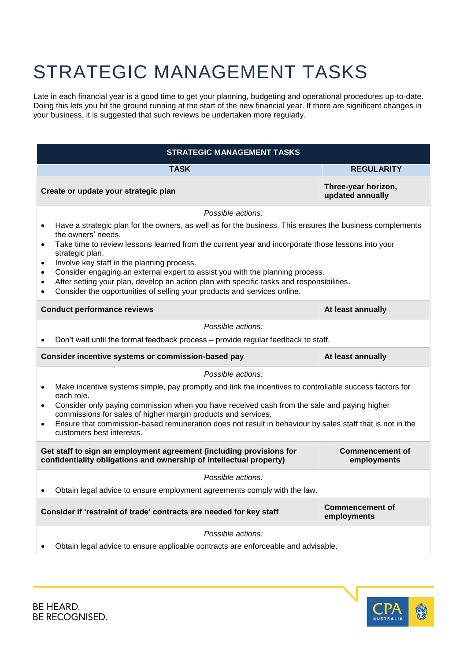#### STRATEGIC MANAGEMENT TASKS

Late in each financial year is a good time to get your planning, budgeting and operational procedures up-to-date. Doing this lets you hit the ground running at the start of the new financial year. If there are significant changes in your business, it is suggested that such reviews be undertaken more regularly.

| <b>STRATEGIC MANAGEMENT TASKS</b>                                                                                                                                                   |                                                                                                                                       |                                         |  |
|-------------------------------------------------------------------------------------------------------------------------------------------------------------------------------------|---------------------------------------------------------------------------------------------------------------------------------------|-----------------------------------------|--|
|                                                                                                                                                                                     | <b>TASK</b>                                                                                                                           | <b>REGULARITY</b>                       |  |
|                                                                                                                                                                                     | Create or update your strategic plan                                                                                                  | Three-year horizon,<br>updated annually |  |
|                                                                                                                                                                                     | Possible actions:                                                                                                                     |                                         |  |
| $\bullet$                                                                                                                                                                           | Have a strategic plan for the owners, as well as for the business. This ensures the business complements                              |                                         |  |
| $\bullet$                                                                                                                                                                           | the owners' needs.<br>Take time to review lessons learned from the current year and incorporate those lessons into your               |                                         |  |
|                                                                                                                                                                                     | strategic plan.                                                                                                                       |                                         |  |
| $\bullet$<br>$\bullet$                                                                                                                                                              | Involve key staff in the planning process.<br>Consider engaging an external expert to assist you with the planning process.           |                                         |  |
| $\bullet$                                                                                                                                                                           | After setting your plan, develop an action plan with specific tasks and responsibilities.                                             |                                         |  |
| $\bullet$                                                                                                                                                                           | Consider the opportunities of selling your products and services online.                                                              |                                         |  |
|                                                                                                                                                                                     | <b>Conduct performance reviews</b>                                                                                                    | At least annually                       |  |
|                                                                                                                                                                                     | Possible actions:                                                                                                                     |                                         |  |
| $\bullet$                                                                                                                                                                           | Don't wait until the formal feedback process - provide regular feedback to staff.                                                     |                                         |  |
|                                                                                                                                                                                     | Consider incentive systems or commission-based pay<br>At least annually                                                               |                                         |  |
|                                                                                                                                                                                     | Possible actions:                                                                                                                     |                                         |  |
| $\bullet$                                                                                                                                                                           | Make incentive systems simple, pay promptly and link the incentives to controllable success factors for                               |                                         |  |
| $\bullet$                                                                                                                                                                           | each role.<br>Consider only paying commission when you have received cash from the sale and paying higher                             |                                         |  |
|                                                                                                                                                                                     | commissions for sales of higher margin products and services.                                                                         |                                         |  |
| $\bullet$                                                                                                                                                                           | Ensure that commission-based remuneration does not result in behaviour by sales staff that is not in the<br>customers best interests. |                                         |  |
| Get staff to sign an employment agreement (including provisions for<br><b>Commencement of</b><br>confidentiality obligations and ownership of intellectual property)<br>employments |                                                                                                                                       |                                         |  |
|                                                                                                                                                                                     | Possible actions:                                                                                                                     |                                         |  |
|                                                                                                                                                                                     | Obtain legal advice to ensure employment agreements comply with the law.                                                              |                                         |  |
|                                                                                                                                                                                     | Consider if 'restraint of trade' contracts are needed for key staff                                                                   | <b>Commencement of</b><br>employments   |  |
|                                                                                                                                                                                     |                                                                                                                                       |                                         |  |
|                                                                                                                                                                                     | Possible actions:                                                                                                                     |                                         |  |
|                                                                                                                                                                                     | Obtain legal advice to ensure applicable contracts are enforceable and advisable.                                                     |                                         |  |

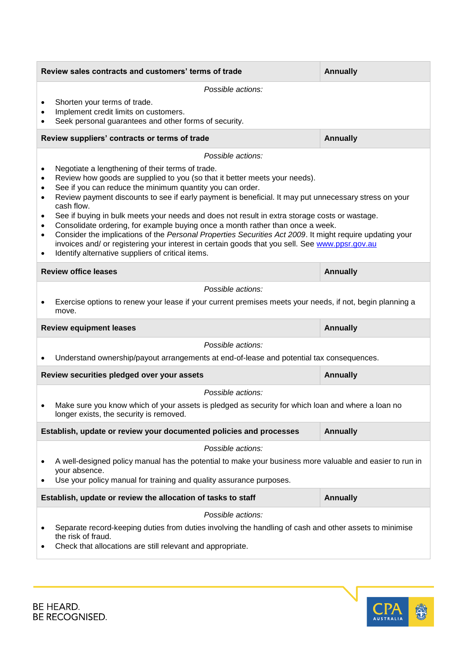|   | Review sales contracts and customers' terms of trade                                                                                                                                                                                                                                                                                                                                                                                                                                                                                                                                                                                                                                                                                                                                          | <b>Annually</b> |  |
|---|-----------------------------------------------------------------------------------------------------------------------------------------------------------------------------------------------------------------------------------------------------------------------------------------------------------------------------------------------------------------------------------------------------------------------------------------------------------------------------------------------------------------------------------------------------------------------------------------------------------------------------------------------------------------------------------------------------------------------------------------------------------------------------------------------|-----------------|--|
|   | Possible actions:<br>Shorten your terms of trade.<br>Implement credit limits on customers.<br>Seek personal guarantees and other forms of security.                                                                                                                                                                                                                                                                                                                                                                                                                                                                                                                                                                                                                                           |                 |  |
|   | Review suppliers' contracts or terms of trade                                                                                                                                                                                                                                                                                                                                                                                                                                                                                                                                                                                                                                                                                                                                                 | <b>Annually</b> |  |
|   | Possible actions:<br>Negotiate a lengthening of their terms of trade.<br>Review how goods are supplied to you (so that it better meets your needs).<br>See if you can reduce the minimum quantity you can order.<br>Review payment discounts to see if early payment is beneficial. It may put unnecessary stress on your<br>cash flow.<br>See if buying in bulk meets your needs and does not result in extra storage costs or wastage.<br>Consolidate ordering, for example buying once a month rather than once a week.<br>Consider the implications of the Personal Properties Securities Act 2009. It might require updating your<br>invoices and/ or registering your interest in certain goods that you sell. See www.ppsr.gov.au<br>Identify alternative suppliers of critical items. |                 |  |
|   | <b>Review office leases</b>                                                                                                                                                                                                                                                                                                                                                                                                                                                                                                                                                                                                                                                                                                                                                                   | <b>Annually</b> |  |
|   | Possible actions:                                                                                                                                                                                                                                                                                                                                                                                                                                                                                                                                                                                                                                                                                                                                                                             |                 |  |
|   | Exercise options to renew your lease if your current premises meets your needs, if not, begin planning a<br>move.                                                                                                                                                                                                                                                                                                                                                                                                                                                                                                                                                                                                                                                                             |                 |  |
|   | <b>Review equipment leases</b>                                                                                                                                                                                                                                                                                                                                                                                                                                                                                                                                                                                                                                                                                                                                                                | <b>Annually</b> |  |
|   | Possible actions:                                                                                                                                                                                                                                                                                                                                                                                                                                                                                                                                                                                                                                                                                                                                                                             |                 |  |
|   | Understand ownership/payout arrangements at end-of-lease and potential tax consequences.                                                                                                                                                                                                                                                                                                                                                                                                                                                                                                                                                                                                                                                                                                      |                 |  |
|   | Review securities pledged over your assets                                                                                                                                                                                                                                                                                                                                                                                                                                                                                                                                                                                                                                                                                                                                                    | <b>Annually</b> |  |
|   | Possible actions:                                                                                                                                                                                                                                                                                                                                                                                                                                                                                                                                                                                                                                                                                                                                                                             |                 |  |
|   | Make sure you know which of your assets is pledged as security for which loan and where a loan no<br>longer exists, the security is removed.                                                                                                                                                                                                                                                                                                                                                                                                                                                                                                                                                                                                                                                  |                 |  |
|   | Establish, update or review your documented policies and processes                                                                                                                                                                                                                                                                                                                                                                                                                                                                                                                                                                                                                                                                                                                            | <b>Annually</b> |  |
|   | Possible actions:                                                                                                                                                                                                                                                                                                                                                                                                                                                                                                                                                                                                                                                                                                                                                                             |                 |  |
| ٠ | A well-designed policy manual has the potential to make your business more valuable and easier to run in<br>your absence.<br>Use your policy manual for training and quality assurance purposes.                                                                                                                                                                                                                                                                                                                                                                                                                                                                                                                                                                                              |                 |  |
|   | Establish, update or review the allocation of tasks to staff                                                                                                                                                                                                                                                                                                                                                                                                                                                                                                                                                                                                                                                                                                                                  | <b>Annually</b> |  |
|   | Possible actions:                                                                                                                                                                                                                                                                                                                                                                                                                                                                                                                                                                                                                                                                                                                                                                             |                 |  |
| ٠ | Separate record-keeping duties from duties involving the handling of cash and other assets to minimise<br>the risk of fraud.<br>Check that allocations are still relevant and appropriate.                                                                                                                                                                                                                                                                                                                                                                                                                                                                                                                                                                                                    |                 |  |

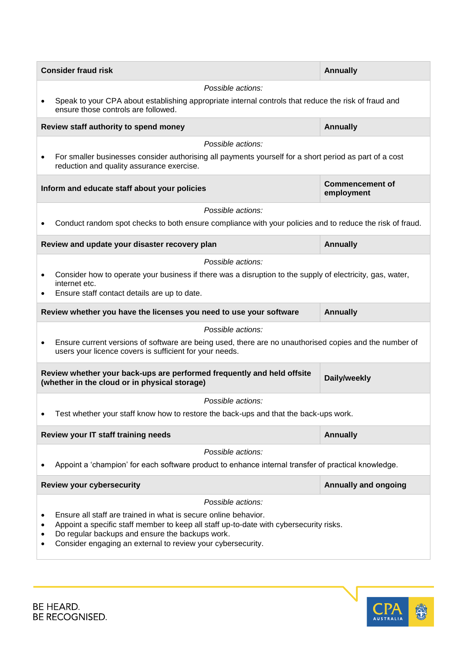|           | <b>Consider fraud risk</b>                                                                                                                                        | <b>Annually</b>                      |  |
|-----------|-------------------------------------------------------------------------------------------------------------------------------------------------------------------|--------------------------------------|--|
|           | Possible actions:                                                                                                                                                 |                                      |  |
|           | Speak to your CPA about establishing appropriate internal controls that reduce the risk of fraud and<br>ensure those controls are followed.                       |                                      |  |
|           | Review staff authority to spend money                                                                                                                             | <b>Annually</b>                      |  |
|           | Possible actions:                                                                                                                                                 |                                      |  |
| $\bullet$ | For smaller businesses consider authorising all payments yourself for a short period as part of a cost<br>reduction and quality assurance exercise.               |                                      |  |
|           | Inform and educate staff about your policies                                                                                                                      | <b>Commencement of</b><br>employment |  |
|           | Possible actions:                                                                                                                                                 |                                      |  |
|           | Conduct random spot checks to both ensure compliance with your policies and to reduce the risk of fraud.                                                          |                                      |  |
|           | Review and update your disaster recovery plan                                                                                                                     | <b>Annually</b>                      |  |
|           | Possible actions:                                                                                                                                                 |                                      |  |
| ٠         | Consider how to operate your business if there was a disruption to the supply of electricity, gas, water,                                                         |                                      |  |
|           | internet etc.<br>Ensure staff contact details are up to date.                                                                                                     |                                      |  |
|           |                                                                                                                                                                   |                                      |  |
|           | Review whether you have the licenses you need to use your software                                                                                                | <b>Annually</b>                      |  |
|           | Possible actions:                                                                                                                                                 |                                      |  |
| ٠         | Ensure current versions of software are being used, there are no unauthorised copies and the number of<br>users your licence covers is sufficient for your needs. |                                      |  |
|           | Review whether your back-ups are performed frequently and held offsite<br>(whether in the cloud or in physical storage)                                           | Daily/weekly                         |  |
|           | Possible actions:                                                                                                                                                 |                                      |  |
|           | Test whether your staff know how to restore the back-ups and that the back-ups work.                                                                              |                                      |  |
|           | Review your IT staff training needs                                                                                                                               | <b>Annually</b>                      |  |
|           | Possible actions:                                                                                                                                                 |                                      |  |
|           | Appoint a 'champion' for each software product to enhance internal transfer of practical knowledge.                                                               |                                      |  |
|           | <b>Review your cybersecurity</b>                                                                                                                                  | <b>Annually and ongoing</b>          |  |
|           | Possible actions:                                                                                                                                                 |                                      |  |
| ٠         | Ensure all staff are trained in what is secure online behavior.                                                                                                   |                                      |  |
| ٠         | Appoint a specific staff member to keep all staff up-to-date with cybersecurity risks.<br>Do regular backups and ensure the backups work.                         |                                      |  |
|           | Consider engaging an external to review your cybersecurity.                                                                                                       |                                      |  |
|           |                                                                                                                                                                   |                                      |  |

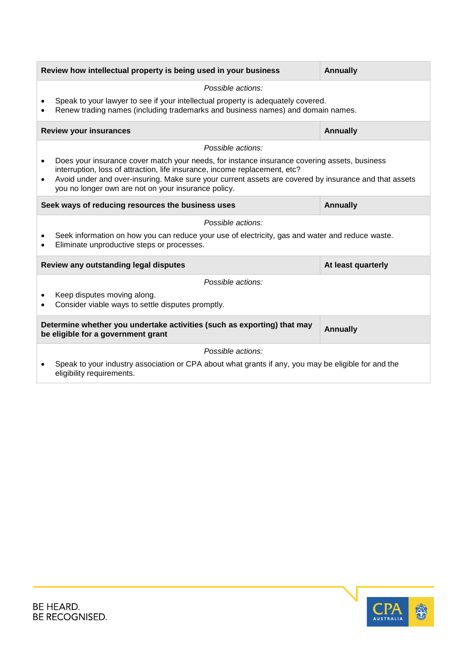| Review how intellectual property is being used in your business<br><b>Annually</b>                                               |                                                                                                                                                                                                                                                                                                                                            |                    |  |
|----------------------------------------------------------------------------------------------------------------------------------|--------------------------------------------------------------------------------------------------------------------------------------------------------------------------------------------------------------------------------------------------------------------------------------------------------------------------------------------|--------------------|--|
|                                                                                                                                  | Possible actions:                                                                                                                                                                                                                                                                                                                          |                    |  |
|                                                                                                                                  | Speak to your lawyer to see if your intellectual property is adequately covered.<br>Renew trading names (including trademarks and business names) and domain names.                                                                                                                                                                        |                    |  |
|                                                                                                                                  | <b>Review your insurances</b>                                                                                                                                                                                                                                                                                                              | <b>Annually</b>    |  |
|                                                                                                                                  | Possible actions:                                                                                                                                                                                                                                                                                                                          |                    |  |
| $\bullet$<br>$\bullet$                                                                                                           | Does your insurance cover match your needs, for instance insurance covering assets, business<br>interruption, loss of attraction, life insurance, income replacement, etc?<br>Avoid under and over-insuring. Make sure your current assets are covered by insurance and that assets<br>you no longer own are not on your insurance policy. |                    |  |
|                                                                                                                                  | Seek ways of reducing resources the business uses                                                                                                                                                                                                                                                                                          | <b>Annually</b>    |  |
|                                                                                                                                  | Possible actions:                                                                                                                                                                                                                                                                                                                          |                    |  |
|                                                                                                                                  | Seek information on how you can reduce your use of electricity, gas and water and reduce waste.<br>Eliminate unproductive steps or processes.                                                                                                                                                                                              |                    |  |
|                                                                                                                                  | Review any outstanding legal disputes                                                                                                                                                                                                                                                                                                      | At least quarterly |  |
|                                                                                                                                  | Possible actions:                                                                                                                                                                                                                                                                                                                          |                    |  |
|                                                                                                                                  | Keep disputes moving along.<br>Consider viable ways to settle disputes promptly.                                                                                                                                                                                                                                                           |                    |  |
| Determine whether you undertake activities (such as exporting) that may<br><b>Annually</b><br>be eligible for a government grant |                                                                                                                                                                                                                                                                                                                                            |                    |  |
|                                                                                                                                  | Possible actions:                                                                                                                                                                                                                                                                                                                          |                    |  |
|                                                                                                                                  | Speak to your industry association or CPA about what grants if any, you may be eligible for and the<br>eligibility requirements.                                                                                                                                                                                                           |                    |  |

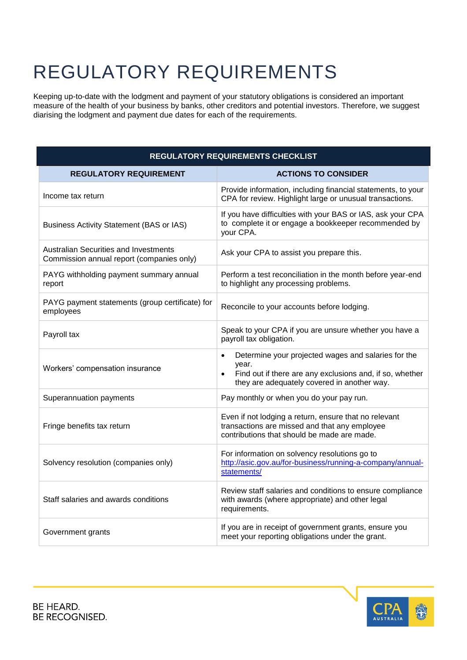## REGULATORY REQUIREMENTS

Keeping up-to-date with the lodgment and payment of your statutory obligations is considered an important measure of the health of your business by banks, other creditors and potential investors. Therefore, we suggest diarising the lodgment and payment due dates for each of the requirements.

| REGULATORY REQUIREMENTS CHECKLIST                                                         |                                                                                                                                                                                                   |  |  |
|-------------------------------------------------------------------------------------------|---------------------------------------------------------------------------------------------------------------------------------------------------------------------------------------------------|--|--|
| <b>REGULATORY REQUIREMENT</b>                                                             | <b>ACTIONS TO CONSIDER</b>                                                                                                                                                                        |  |  |
| Income tax return                                                                         | Provide information, including financial statements, to your<br>CPA for review. Highlight large or unusual transactions.                                                                          |  |  |
| <b>Business Activity Statement (BAS or IAS)</b>                                           | If you have difficulties with your BAS or IAS, ask your CPA<br>to complete it or engage a bookkeeper recommended by<br>your CPA.                                                                  |  |  |
| <b>Australian Securities and Investments</b><br>Commission annual report (companies only) | Ask your CPA to assist you prepare this.                                                                                                                                                          |  |  |
| PAYG withholding payment summary annual<br>report                                         | Perform a test reconciliation in the month before year-end<br>to highlight any processing problems.                                                                                               |  |  |
| PAYG payment statements (group certificate) for<br>employees                              | Reconcile to your accounts before lodging.                                                                                                                                                        |  |  |
| Payroll tax                                                                               | Speak to your CPA if you are unsure whether you have a<br>payroll tax obligation.                                                                                                                 |  |  |
| Workers' compensation insurance                                                           | Determine your projected wages and salaries for the<br>$\bullet$<br>year.<br>Find out if there are any exclusions and, if so, whether<br>$\bullet$<br>they are adequately covered in another way. |  |  |
| Superannuation payments                                                                   | Pay monthly or when you do your pay run.                                                                                                                                                          |  |  |
| Fringe benefits tax return                                                                | Even if not lodging a return, ensure that no relevant<br>transactions are missed and that any employee<br>contributions that should be made are made.                                             |  |  |
| Solvency resolution (companies only)                                                      | For information on solvency resolutions go to<br>http://asic.gov.au/for-business/running-a-company/annual-<br>statements/                                                                         |  |  |
| Staff salaries and awards conditions                                                      | Review staff salaries and conditions to ensure compliance<br>with awards (where appropriate) and other legal<br>requirements.                                                                     |  |  |
| Government grants                                                                         | If you are in receipt of government grants, ensure you<br>meet your reporting obligations under the grant.                                                                                        |  |  |

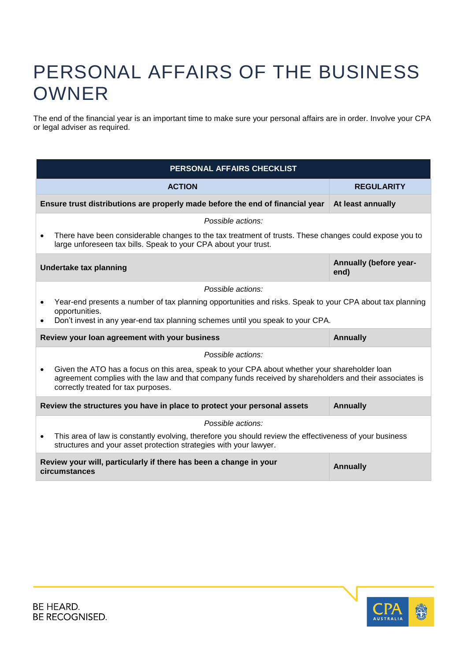#### PERSONAL AFFAIRS OF THE BUSINESS OWNER

The end of the financial year is an important time to make sure your personal affairs are in order. Involve your CPA or legal adviser as required.

| PERSONAL AFFAIRS CHECKLIST                                                                                                                                                                                                                                   |                                |  |
|--------------------------------------------------------------------------------------------------------------------------------------------------------------------------------------------------------------------------------------------------------------|--------------------------------|--|
| <b>ACTION</b>                                                                                                                                                                                                                                                | <b>REGULARITY</b>              |  |
| Ensure trust distributions are properly made before the end of financial year                                                                                                                                                                                | At least annually              |  |
| Possible actions:                                                                                                                                                                                                                                            |                                |  |
| There have been considerable changes to the tax treatment of trusts. These changes could expose you to<br>large unforeseen tax bills. Speak to your CPA about your trust.                                                                                    |                                |  |
| Undertake tax planning                                                                                                                                                                                                                                       | Annually (before year-<br>end) |  |
| Possible actions:                                                                                                                                                                                                                                            |                                |  |
| Year-end presents a number of tax planning opportunities and risks. Speak to your CPA about tax planning<br>opportunities.                                                                                                                                   |                                |  |
| Don't invest in any year-end tax planning schemes until you speak to your CPA.<br>$\bullet$                                                                                                                                                                  |                                |  |
| Review your loan agreement with your business                                                                                                                                                                                                                | <b>Annually</b>                |  |
| Possible actions:                                                                                                                                                                                                                                            |                                |  |
| Given the ATO has a focus on this area, speak to your CPA about whether your shareholder loan<br>$\bullet$<br>agreement complies with the law and that company funds received by shareholders and their associates is<br>correctly treated for tax purposes. |                                |  |
| Review the structures you have in place to protect your personal assets                                                                                                                                                                                      | <b>Annually</b>                |  |
| Possible actions:                                                                                                                                                                                                                                            |                                |  |
| This area of law is constantly evolving, therefore you should review the effectiveness of your business<br>$\bullet$<br>structures and your asset protection strategies with your lawyer.                                                                    |                                |  |
| Review your will, particularly if there has been a change in your<br><b>Annually</b><br>circumstances                                                                                                                                                        |                                |  |